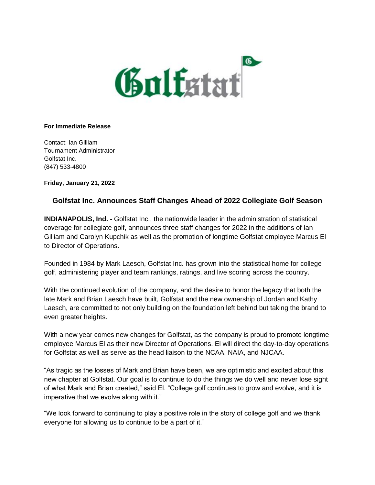

## **For Immediate Release**

Contact: Ian Gilliam Tournament Administrator Golfstat Inc. (847) 533-4800

**Friday, January 21, 2022**

## **Golfstat Inc. Announces Staff Changes Ahead of 2022 Collegiate Golf Season**

**INDIANAPOLIS, Ind. -** Golfstat Inc., the nationwide leader in the administration of statistical coverage for collegiate golf, announces three staff changes for 2022 in the additions of Ian Gilliam and Carolyn Kupchik as well as the promotion of longtime Golfstat employee Marcus El to Director of Operations.

Founded in 1984 by Mark Laesch, Golfstat Inc. has grown into the statistical home for college golf, administering player and team rankings, ratings, and live scoring across the country.

With the continued evolution of the company, and the desire to honor the legacy that both the late Mark and Brian Laesch have built, Golfstat and the new ownership of Jordan and Kathy Laesch, are committed to not only building on the foundation left behind but taking the brand to even greater heights.

With a new year comes new changes for Golfstat, as the company is proud to promote longtime employee Marcus El as their new Director of Operations. El will direct the day-to-day operations for Golfstat as well as serve as the head liaison to the NCAA, NAIA, and NJCAA.

"As tragic as the losses of Mark and Brian have been, we are optimistic and excited about this new chapter at Golfstat. Our goal is to continue to do the things we do well and never lose sight of what Mark and Brian created," said El. "College golf continues to grow and evolve, and it is imperative that we evolve along with it."

"We look forward to continuing to play a positive role in the story of college golf and we thank everyone for allowing us to continue to be a part of it."